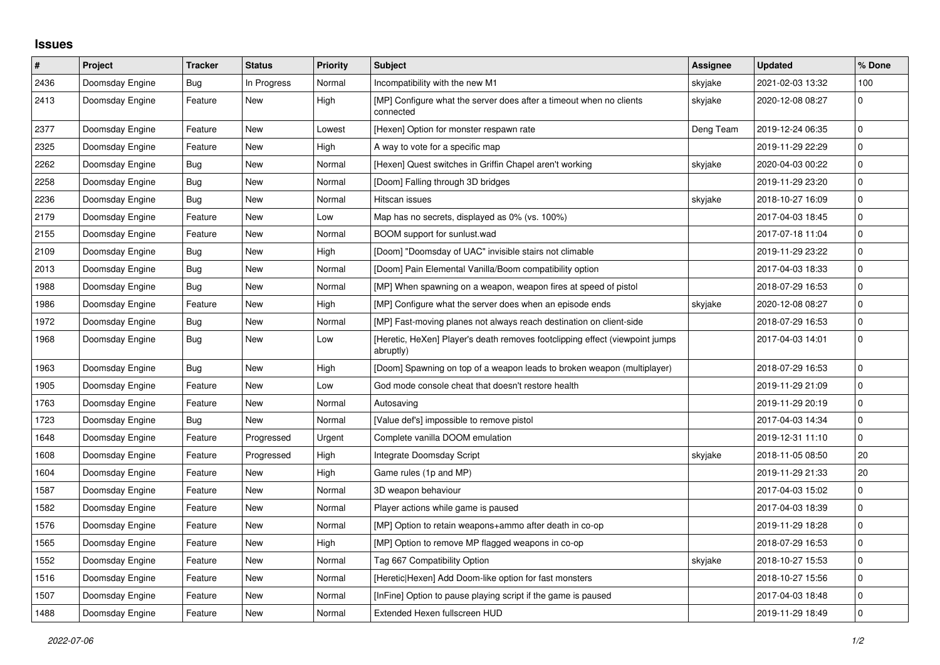## **Issues**

| #    | Project         | <b>Tracker</b> | <b>Status</b> | <b>Priority</b> | <b>Subject</b>                                                                            | <b>Assignee</b> | <b>Updated</b>   | % Done      |
|------|-----------------|----------------|---------------|-----------------|-------------------------------------------------------------------------------------------|-----------------|------------------|-------------|
| 2436 | Doomsday Engine | Bug            | In Progress   | Normal          | Incompatibility with the new M1                                                           | skyjake         | 2021-02-03 13:32 | 100         |
| 2413 | Doomsday Engine | Feature        | <b>New</b>    | High            | [MP] Configure what the server does after a timeout when no clients<br>connected          | skyjake         | 2020-12-08 08:27 | $\mathbf 0$ |
| 2377 | Doomsday Engine | Feature        | New           | Lowest          | [Hexen] Option for monster respawn rate                                                   | Deng Team       | 2019-12-24 06:35 | $\pmb{0}$   |
| 2325 | Doomsday Engine | Feature        | New           | High            | A way to vote for a specific map                                                          |                 | 2019-11-29 22:29 | $\mathbf 0$ |
| 2262 | Doomsday Engine | Bug            | New           | Normal          | [Hexen] Quest switches in Griffin Chapel aren't working                                   | skyjake         | 2020-04-03 00:22 | $\pmb{0}$   |
| 2258 | Doomsday Engine | Bug            | New           | Normal          | [Doom] Falling through 3D bridges                                                         |                 | 2019-11-29 23:20 | $\pmb{0}$   |
| 2236 | Doomsday Engine | Bug            | New           | Normal          | Hitscan issues                                                                            | skyjake         | 2018-10-27 16:09 | $\pmb{0}$   |
| 2179 | Doomsday Engine | Feature        | New           | Low             | Map has no secrets, displayed as 0% (vs. 100%)                                            |                 | 2017-04-03 18:45 | $\mathbf 0$ |
| 2155 | Doomsday Engine | Feature        | New           | Normal          | BOOM support for sunlust.wad                                                              |                 | 2017-07-18 11:04 | $\pmb{0}$   |
| 2109 | Doomsday Engine | Bug            | New           | High            | [Doom] "Doomsday of UAC" invisible stairs not climable                                    |                 | 2019-11-29 23:22 | $\pmb{0}$   |
| 2013 | Doomsday Engine | Bug            | New           | Normal          | [Doom] Pain Elemental Vanilla/Boom compatibility option                                   |                 | 2017-04-03 18:33 | $\pmb{0}$   |
| 1988 | Doomsday Engine | <b>Bug</b>     | <b>New</b>    | Normal          | [MP] When spawning on a weapon, weapon fires at speed of pistol                           |                 | 2018-07-29 16:53 | $\pmb{0}$   |
| 1986 | Doomsday Engine | Feature        | New           | High            | [MP] Configure what the server does when an episode ends                                  | skyjake         | 2020-12-08 08:27 | $\pmb{0}$   |
| 1972 | Doomsday Engine | <b>Bug</b>     | New           | Normal          | [MP] Fast-moving planes not always reach destination on client-side                       |                 | 2018-07-29 16:53 | $\pmb{0}$   |
| 1968 | Doomsday Engine | <b>Bug</b>     | New           | Low             | [Heretic, HeXen] Player's death removes footclipping effect (viewpoint jumps<br>abruptly) |                 | 2017-04-03 14:01 | $\mathbf 0$ |
| 1963 | Doomsday Engine | Bug            | New           | High            | [Doom] Spawning on top of a weapon leads to broken weapon (multiplayer)                   |                 | 2018-07-29 16:53 | $\pmb{0}$   |
| 1905 | Doomsday Engine | Feature        | New           | Low             | God mode console cheat that doesn't restore health                                        |                 | 2019-11-29 21:09 | $\mathbf 0$ |
| 1763 | Doomsday Engine | Feature        | New           | Normal          | Autosaving                                                                                |                 | 2019-11-29 20:19 | $\pmb{0}$   |
| 1723 | Doomsday Engine | Bug            | New           | Normal          | [Value def's] impossible to remove pistol                                                 |                 | 2017-04-03 14:34 | $\pmb{0}$   |
| 1648 | Doomsday Engine | Feature        | Progressed    | Urgent          | Complete vanilla DOOM emulation                                                           |                 | 2019-12-31 11:10 | $\mathbf 0$ |
| 1608 | Doomsday Engine | Feature        | Progressed    | High            | Integrate Doomsday Script                                                                 | skyjake         | 2018-11-05 08:50 | 20          |
| 1604 | Doomsday Engine | Feature        | New           | High            | Game rules (1p and MP)                                                                    |                 | 2019-11-29 21:33 | 20          |
| 1587 | Doomsday Engine | Feature        | <b>New</b>    | Normal          | 3D weapon behaviour                                                                       |                 | 2017-04-03 15:02 | $\mathbf 0$ |
| 1582 | Doomsday Engine | Feature        | New           | Normal          | Player actions while game is paused                                                       |                 | 2017-04-03 18:39 | $\pmb{0}$   |
| 1576 | Doomsday Engine | Feature        | New           | Normal          | [MP] Option to retain weapons+ammo after death in co-op                                   |                 | 2019-11-29 18:28 | $\mathbf 0$ |
| 1565 | Doomsday Engine | Feature        | New           | High            | [MP] Option to remove MP flagged weapons in co-op                                         |                 | 2018-07-29 16:53 | $\pmb{0}$   |
| 1552 | Doomsday Engine | Feature        | New           | Normal          | Tag 667 Compatibility Option                                                              | skyjake         | 2018-10-27 15:53 | $\pmb{0}$   |
| 1516 | Doomsday Engine | Feature        | New           | Normal          | [Heretic Hexen] Add Doom-like option for fast monsters                                    |                 | 2018-10-27 15:56 | $\pmb{0}$   |
| 1507 | Doomsday Engine | Feature        | New           | Normal          | [InFine] Option to pause playing script if the game is paused                             |                 | 2017-04-03 18:48 | $\pmb{0}$   |
| 1488 | Doomsday Engine | Feature        | New           | Normal          | Extended Hexen fullscreen HUD                                                             |                 | 2019-11-29 18:49 | $\pmb{0}$   |